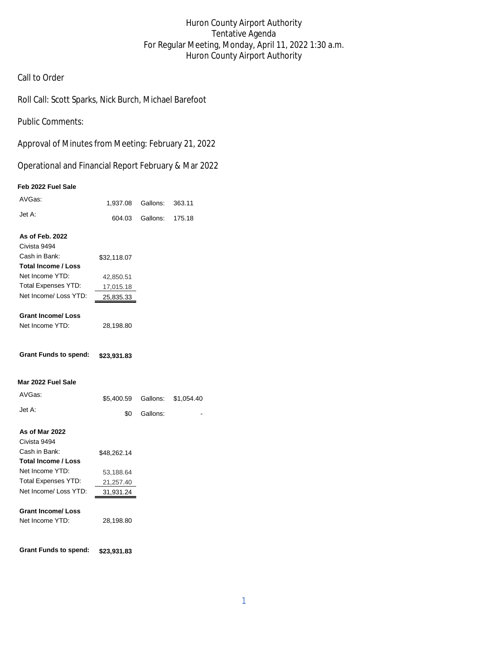### Huron County Airport Authority Tentative Agenda For Regular Meeting, Monday, April 11, 2022 1:30 a.m. Huron County Airport Authority

### Call to Order

Roll Call: Scott Sparks, Nick Burch, Michael Barefoot

Public Comments:

Approval of Minutes from Meeting: February 21, 2022

Operational and Financial Report February & Mar 2022

#### **Feb 2022 Fuel Sale**

| AVGas:                       | 1,937.08 Gallons: |          | 363.11     |
|------------------------------|-------------------|----------|------------|
| Jet A:                       | 604.03            | Gallons: | 175.18     |
| As of Feb. 2022              |                   |          |            |
| Civista 9494                 |                   |          |            |
| Cash in Bank:                | \$32,118.07       |          |            |
| <b>Total Income / Loss</b>   |                   |          |            |
| Net Income YTD:              | 42,850.51         |          |            |
| <b>Total Expenses YTD:</b>   | 17,015.18         |          |            |
| Net Income/ Loss YTD:        | 25,835.33         |          |            |
| <b>Grant Income/ Loss</b>    |                   |          |            |
| Net Income YTD:              | 28,198.80         |          |            |
| <b>Grant Funds to spend:</b> | \$23,931.83       |          |            |
| Mar 2022 Fuel Sale           |                   |          |            |
| AVGas:                       | \$5,400.59        | Gallons: | \$1,054.40 |
| Jet A:                       | \$0               | Gallons: |            |
| As of Mar 2022               |                   |          |            |
| Civista 9494                 |                   |          |            |
| Cash in Bank:                | \$48,262.14       |          |            |
| <b>Total Income / Loss</b>   |                   |          |            |
| Net Income YTD:              | 53,188.64         |          |            |
| <b>Total Expenses YTD:</b>   | 21,257.40         |          |            |
| Net Income/ Loss YTD:        | 31,931.24         |          |            |
| <b>Grant Income/ Loss</b>    |                   |          |            |
| Net Income YTD:              | 28,198.80         |          |            |
| <b>Grant Funds to spend:</b> | \$23,931.83       |          |            |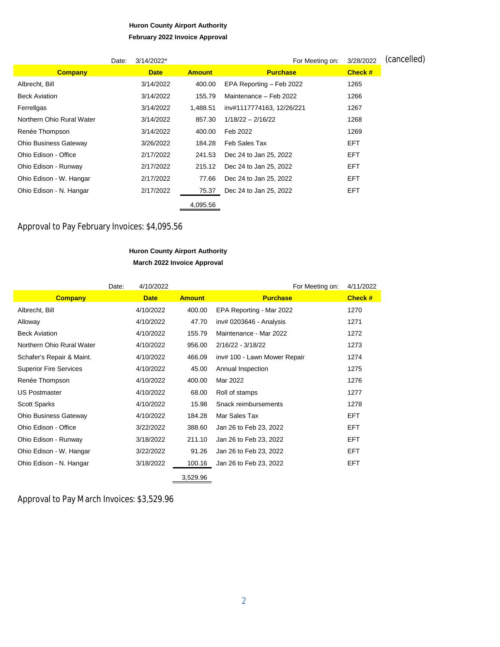# **Huron County Airport Authority**

## **February 2022 Invoice Approval** Date:  $3/14/2022$ <sup>\*</sup> For Meeting on:  $3/28/2022$  (Cancelled) **Company Date Amount Purchase Check #** Albrecht, Bill 3/14/2022 400.00 EPA Reporting – Feb 2022 1265 Beck Aviation 3/14/2022 155.79 Maintenance – Feb 2022 1266 Ferrellgas 3/14/2022 1,488.51 inv#1117774163, 12/26/221 1267 Northern Ohio Rural Water 3/14/2022 857.30 1/18/22 – 2/16/22 1268 Renée Thompson 3/14/2022 400.00 Feb 2022 1269 Ohio Business Gateway 3/26/2022 184.28 Feb Sales Tax EFT Ohio Edison - Office 2/17/2022 241.53 Dec 24 to Jan 25, 2022 EFT Ohio Edison - Runway 2/17/2022 215.12 Dec 24 to Jan 25, 2022 EFT Ohio Edison - W. Hangar 2/17/2022 77.66 Dec 24 to Jan 25, 2022 EFT Ohio Edison - N. Hangar 2/17/2022 75.37 Dec 24 to Jan 25, 2022 EFT

4,095.56

### Approval to Pay February Invoices: \$4,095.56

### **Huron County Airport Authority March 2022 Invoice Approval**

|                               | Date: | 4/10/2022   |               | For Meeting on:              | 4/11/2022  |
|-------------------------------|-------|-------------|---------------|------------------------------|------------|
| <b>Company</b>                |       | <b>Date</b> | <b>Amount</b> | <b>Purchase</b>              | Check #    |
| Albrecht, Bill                |       | 4/10/2022   | 400.00        | EPA Reporting - Mar 2022     | 1270       |
| Alloway                       |       | 4/10/2022   | 47.70         | inv# 0203646 - Analysis      | 1271       |
| <b>Beck Aviation</b>          |       | 4/10/2022   | 155.79        | Maintenance - Mar 2022       | 1272       |
| Northern Ohio Rural Water     |       | 4/10/2022   | 956.00        | 2/16/22 - 3/18/22            | 1273       |
| Schafer's Repair & Maint.     |       | 4/10/2022   | 466.09        | inv# 100 - Lawn Mower Repair | 1274       |
| <b>Superior Fire Services</b> |       | 4/10/2022   | 45.00         | Annual Inspection            | 1275       |
| Renée Thompson                |       | 4/10/2022   | 400.00        | Mar 2022                     | 1276       |
| <b>US Postmaster</b>          |       | 4/10/2022   | 68.00         | Roll of stamps               | 1277       |
| <b>Scott Sparks</b>           |       | 4/10/2022   | 15.98         | Snack reimbursements         | 1278       |
| <b>Ohio Business Gateway</b>  |       | 4/10/2022   | 184.28        | Mar Sales Tax                | <b>EFT</b> |
| Ohio Edison - Office          |       | 3/22/2022   | 388.60        | Jan 26 to Feb 23, 2022       | <b>EFT</b> |
| Ohio Edison - Runway          |       | 3/18/2022   | 211.10        | Jan 26 to Feb 23, 2022       | <b>EFT</b> |
| Ohio Edison - W. Hangar       |       | 3/22/2022   | 91.26         | Jan 26 to Feb 23, 2022       | <b>EFT</b> |
| Ohio Edison - N. Hangar       |       | 3/18/2022   | 100.16        | Jan 26 to Feb 23, 2022       | <b>EFT</b> |
|                               |       |             | 3,529.96      |                              |            |

Approval to Pay March Invoices: \$3,529.96